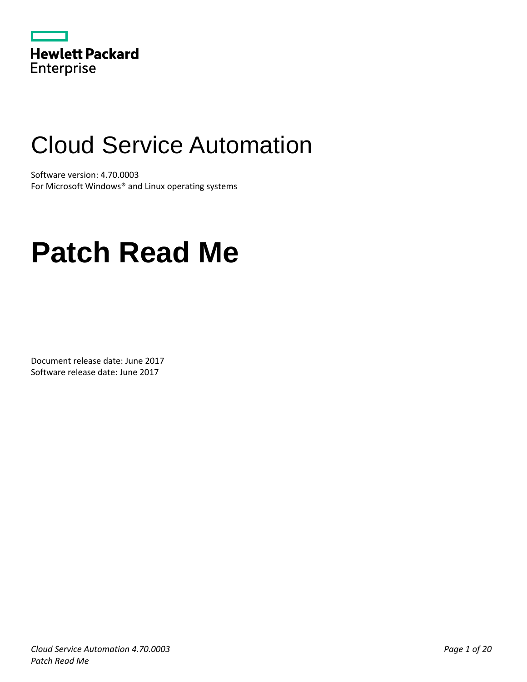|                   | <b>Hewlett Packard</b> |
|-------------------|------------------------|
| <b>Enterprise</b> |                        |

# Cloud Service Automation

Software version: 4.70.0003 For Microsoft Windows® and Linux operating systems

# **Patch Read Me**

Document release date: June 2017 Software release date: June 2017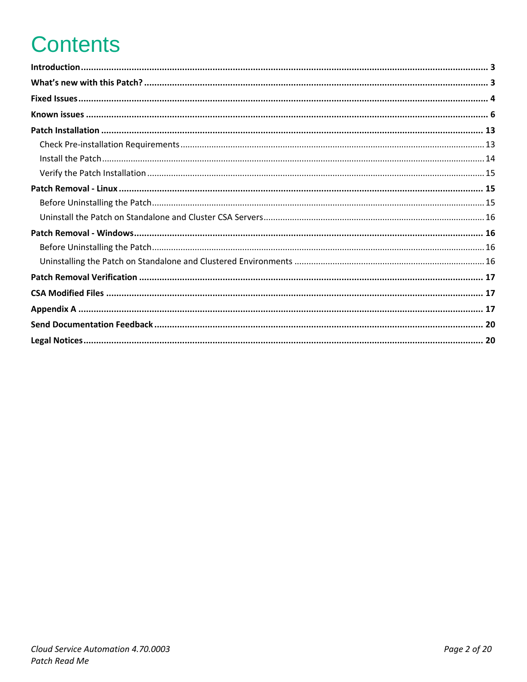# **Contents**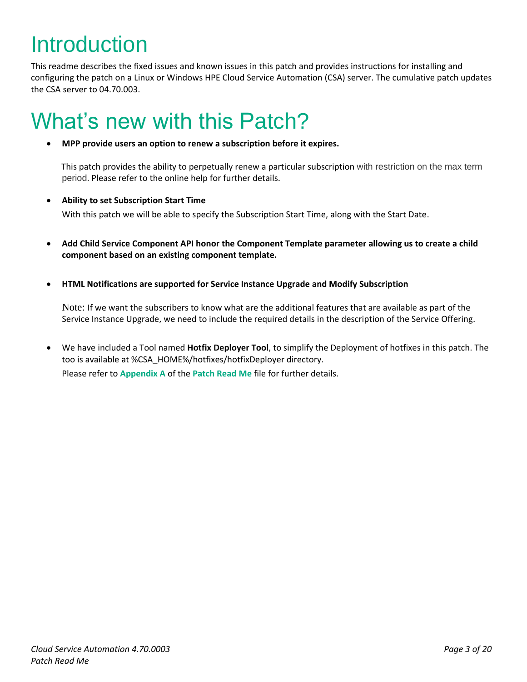# <span id="page-2-0"></span>Introduction

This readme describes the fixed issues and known issues in this patch and provides instructions for installing and configuring the patch on a Linux or Windows HPE Cloud Service Automation (CSA) server. The cumulative patch updates the CSA server to 04.70.003.

## <span id="page-2-1"></span>What's new with this Patch?

**MPP provide users an option to renew a subscription before it expires.**

 This patch provides the ability to perpetually renew a particular subscription with restriction on the max term period. Please refer to the online help for further details.

**Ability to set Subscription Start Time**

With this patch we will be able to specify the Subscription Start Time, along with the Start Date.

- **Add Child Service Component API honor the Component Template parameter allowing us to create a child component based on an existing component template.**
- **HTML Notifications are supported for Service Instance Upgrade and Modify Subscription**

Note: If we want the subscribers to know what are the additional features that are available as part of the Service Instance Upgrade, we need to include the required details in the description of the Service Offering.

 We have included a Tool named **Hotfix Deployer Tool**, to simplify the Deployment of hotfixes in this patch. The too is available at %CSA\_HOME%/hotfixes/hotfixDeployer directory. Please refer to **[Appendix A](#page-16-2)** of the **[Patch Read Me](https://softwaresupport.hpe.com/km/KM02793428)** file for further details.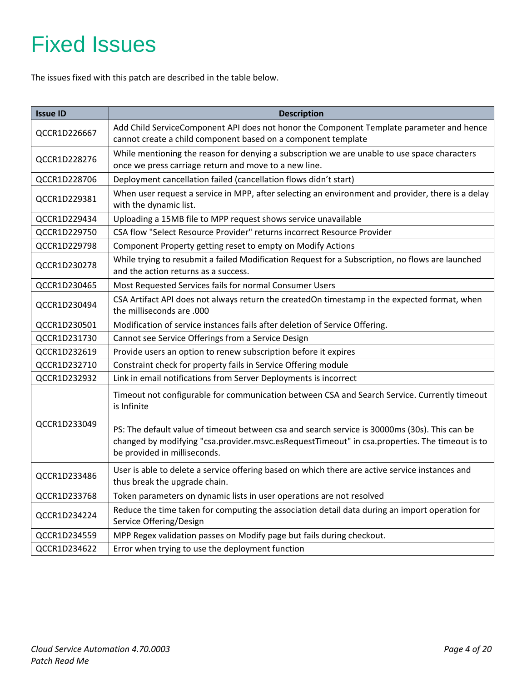# <span id="page-3-0"></span>Fixed Issues

The issues fixed with this patch are described in the table below.

| <b>Issue ID</b> | <b>Description</b>                                                                                                                                                                                                              |  |  |
|-----------------|---------------------------------------------------------------------------------------------------------------------------------------------------------------------------------------------------------------------------------|--|--|
| QCCR1D226667    | Add Child ServiceComponent API does not honor the Component Template parameter and hence<br>cannot create a child component based on a component template                                                                       |  |  |
| QCCR1D228276    | While mentioning the reason for denying a subscription we are unable to use space characters<br>once we press carriage return and move to a new line.                                                                           |  |  |
| QCCR1D228706    | Deployment cancellation failed (cancellation flows didn't start)                                                                                                                                                                |  |  |
| QCCR1D229381    | When user request a service in MPP, after selecting an environment and provider, there is a delay<br>with the dynamic list.                                                                                                     |  |  |
| QCCR1D229434    | Uploading a 15MB file to MPP request shows service unavailable                                                                                                                                                                  |  |  |
| QCCR1D229750    | CSA flow "Select Resource Provider" returns incorrect Resource Provider                                                                                                                                                         |  |  |
| QCCR1D229798    | Component Property getting reset to empty on Modify Actions                                                                                                                                                                     |  |  |
| QCCR1D230278    | While trying to resubmit a failed Modification Request for a Subscription, no flows are launched<br>and the action returns as a success.                                                                                        |  |  |
| QCCR1D230465    | Most Requested Services fails for normal Consumer Users                                                                                                                                                                         |  |  |
| QCCR1D230494    | CSA Artifact API does not always return the createdOn timestamp in the expected format, when<br>the milliseconds are .000                                                                                                       |  |  |
| QCCR1D230501    | Modification of service instances fails after deletion of Service Offering.                                                                                                                                                     |  |  |
| QCCR1D231730    | Cannot see Service Offerings from a Service Design                                                                                                                                                                              |  |  |
| QCCR1D232619    | Provide users an option to renew subscription before it expires                                                                                                                                                                 |  |  |
| QCCR1D232710    | Constraint check for property fails in Service Offering module                                                                                                                                                                  |  |  |
| QCCR1D232932    | Link in email notifications from Server Deployments is incorrect                                                                                                                                                                |  |  |
|                 | Timeout not configurable for communication between CSA and Search Service. Currently timeout<br>is Infinite                                                                                                                     |  |  |
| QCCR1D233049    | PS: The default value of timeout between csa and search service is 30000ms (30s). This can be<br>changed by modifying "csa.provider.msvc.esRequestTimeout" in csa.properties. The timeout is to<br>be provided in milliseconds. |  |  |
| QCCR1D233486    | User is able to delete a service offering based on which there are active service instances and<br>thus break the upgrade chain.                                                                                                |  |  |
| QCCR1D233768    | Token parameters on dynamic lists in user operations are not resolved                                                                                                                                                           |  |  |
| QCCR1D234224    | Reduce the time taken for computing the association detail data during an import operation for<br>Service Offering/Design                                                                                                       |  |  |
| QCCR1D234559    | MPP Regex validation passes on Modify page but fails during checkout.                                                                                                                                                           |  |  |
| QCCR1D234622    | Error when trying to use the deployment function                                                                                                                                                                                |  |  |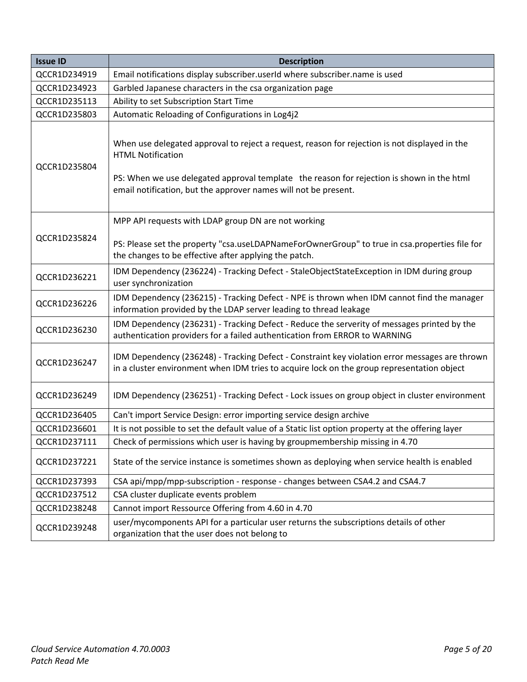| <b>Issue ID</b> | <b>Description</b>                                                                                                                                                                                                                                                                        |  |  |
|-----------------|-------------------------------------------------------------------------------------------------------------------------------------------------------------------------------------------------------------------------------------------------------------------------------------------|--|--|
| QCCR1D234919    | Email notifications display subscriber.userId where subscriber.name is used                                                                                                                                                                                                               |  |  |
| QCCR1D234923    | Garbled Japanese characters in the csa organization page                                                                                                                                                                                                                                  |  |  |
| QCCR1D235113    | Ability to set Subscription Start Time                                                                                                                                                                                                                                                    |  |  |
| QCCR1D235803    | Automatic Reloading of Configurations in Log4j2                                                                                                                                                                                                                                           |  |  |
| QCCR1D235804    | When use delegated approval to reject a request, reason for rejection is not displayed in the<br><b>HTML Notification</b><br>PS: When we use delegated approval template the reason for rejection is shown in the html<br>email notification, but the approver names will not be present. |  |  |
| QCCR1D235824    | MPP API requests with LDAP group DN are not working<br>PS: Please set the property "csa.useLDAPNameForOwnerGroup" to true in csa.properties file for<br>the changes to be effective after applying the patch.                                                                             |  |  |
| QCCR1D236221    | IDM Dependency (236224) - Tracking Defect - StaleObjectStateException in IDM during group<br>user synchronization                                                                                                                                                                         |  |  |
| QCCR1D236226    | IDM Dependency (236215) - Tracking Defect - NPE is thrown when IDM cannot find the manager<br>information provided by the LDAP server leading to thread leakage                                                                                                                           |  |  |
| QCCR1D236230    | IDM Dependency (236231) - Tracking Defect - Reduce the serverity of messages printed by the<br>authentication providers for a failed authentication from ERROR to WARNING                                                                                                                 |  |  |
| QCCR1D236247    | IDM Dependency (236248) - Tracking Defect - Constraint key violation error messages are thrown<br>in a cluster environment when IDM tries to acquire lock on the group representation object                                                                                              |  |  |
| QCCR1D236249    | IDM Dependency (236251) - Tracking Defect - Lock issues on group object in cluster environment                                                                                                                                                                                            |  |  |
| QCCR1D236405    | Can't import Service Design: error importing service design archive                                                                                                                                                                                                                       |  |  |
| QCCR1D236601    | It is not possible to set the default value of a Static list option property at the offering layer                                                                                                                                                                                        |  |  |
| QCCR1D237111    | Check of permissions which user is having by groupmembership missing in 4.70                                                                                                                                                                                                              |  |  |
| QCCR1D237221    | State of the service instance is sometimes shown as deploying when service health is enabled                                                                                                                                                                                              |  |  |
| QCCR1D237393    | CSA api/mpp/mpp-subscription - response - changes between CSA4.2 and CSA4.7                                                                                                                                                                                                               |  |  |
| QCCR1D237512    | CSA cluster duplicate events problem                                                                                                                                                                                                                                                      |  |  |
| QCCR1D238248    | Cannot import Ressource Offering from 4.60 in 4.70                                                                                                                                                                                                                                        |  |  |
| QCCR1D239248    | user/mycomponents API for a particular user returns the subscriptions details of other<br>organization that the user does not belong to                                                                                                                                                   |  |  |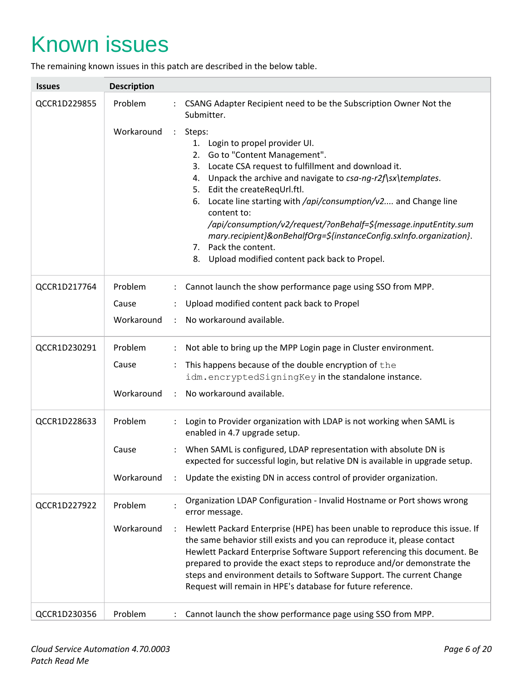## <span id="page-5-0"></span>Known issues

The remaining known issues in this patch are described in the below table.

| <b>Issues</b> | <b>Description</b>                 |                                                                                                                                                                                                                                                                                                                                                                                                                                                                                                                                                              |
|---------------|------------------------------------|--------------------------------------------------------------------------------------------------------------------------------------------------------------------------------------------------------------------------------------------------------------------------------------------------------------------------------------------------------------------------------------------------------------------------------------------------------------------------------------------------------------------------------------------------------------|
| QCCR1D229855  | Problem                            | CSANG Adapter Recipient need to be the Subscription Owner Not the<br>Submitter.                                                                                                                                                                                                                                                                                                                                                                                                                                                                              |
|               | Workaround<br>$\ddot{\phantom{a}}$ | Steps:<br>Login to propel provider UI.<br>1.<br>2. Go to "Content Management".<br>Locate CSA request to fulfillment and download it.<br>3.<br>Unpack the archive and navigate to csa-ng-r2f\sx\templates.<br>4.<br>5. Edit the createReqUrl.ftl.<br>6. Locate line starting with /api/consumption/v2 and Change line<br>content to:<br>/api/consumption/v2/request/?onBehalf=\${message.inputEntity.sum<br>mary.recipient}&onBehalfOrg=\${instanceConfig.sxInfo.organization}.<br>7. Pack the content.<br>Upload modified content pack back to Propel.<br>8. |
| QCCR1D217764  | Problem                            | : Cannot launch the show performance page using SSO from MPP.                                                                                                                                                                                                                                                                                                                                                                                                                                                                                                |
|               | Cause                              | Upload modified content pack back to Propel                                                                                                                                                                                                                                                                                                                                                                                                                                                                                                                  |
|               | Workaround                         | No workaround available.                                                                                                                                                                                                                                                                                                                                                                                                                                                                                                                                     |
| QCCR1D230291  | Problem                            | Not able to bring up the MPP Login page in Cluster environment.                                                                                                                                                                                                                                                                                                                                                                                                                                                                                              |
|               | Cause<br>$\ddot{\phantom{a}}$      | This happens because of the double encryption of the                                                                                                                                                                                                                                                                                                                                                                                                                                                                                                         |
|               |                                    | idm.encryptedSigningKey in the standalone instance.                                                                                                                                                                                                                                                                                                                                                                                                                                                                                                          |
|               | Workaround                         | No workaround available.                                                                                                                                                                                                                                                                                                                                                                                                                                                                                                                                     |
| QCCR1D228633  | Problem                            | Login to Provider organization with LDAP is not working when SAML is<br>enabled in 4.7 upgrade setup.                                                                                                                                                                                                                                                                                                                                                                                                                                                        |
|               | Cause                              | When SAML is configured, LDAP representation with absolute DN is<br>expected for successful login, but relative DN is available in upgrade setup.                                                                                                                                                                                                                                                                                                                                                                                                            |
|               | Workaround                         | Update the existing DN in access control of provider organization.                                                                                                                                                                                                                                                                                                                                                                                                                                                                                           |
| QCCR1D227922  | Problem                            | Organization LDAP Configuration - Invalid Hostname or Port shows wrong<br>error message.                                                                                                                                                                                                                                                                                                                                                                                                                                                                     |
|               | Workaround<br>$\ddot{\cdot}$       | Hewlett Packard Enterprise (HPE) has been unable to reproduce this issue. If<br>the same behavior still exists and you can reproduce it, please contact<br>Hewlett Packard Enterprise Software Support referencing this document. Be<br>prepared to provide the exact steps to reproduce and/or demonstrate the<br>steps and environment details to Software Support. The current Change<br>Request will remain in HPE's database for future reference.                                                                                                      |
| QCCR1D230356  | Problem                            | Cannot launch the show performance page using SSO from MPP.                                                                                                                                                                                                                                                                                                                                                                                                                                                                                                  |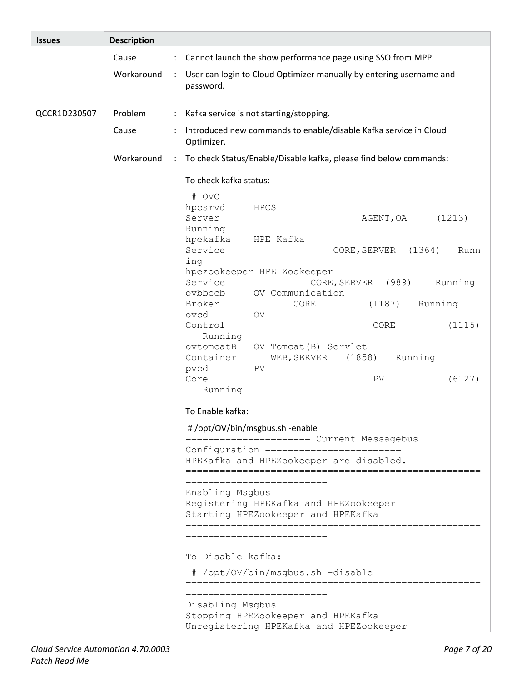| <b>Issues</b> | <b>Description</b>                 |                                                                                                                                                                                                                                                                                                                                                                                                                                                                                                                                                    |
|---------------|------------------------------------|----------------------------------------------------------------------------------------------------------------------------------------------------------------------------------------------------------------------------------------------------------------------------------------------------------------------------------------------------------------------------------------------------------------------------------------------------------------------------------------------------------------------------------------------------|
|               | Cause                              | : Cannot launch the show performance page using SSO from MPP.                                                                                                                                                                                                                                                                                                                                                                                                                                                                                      |
|               | Workaround<br>$\ddot{\cdot}$       | User can login to Cloud Optimizer manually by entering username and<br>password.                                                                                                                                                                                                                                                                                                                                                                                                                                                                   |
| QCCR1D230507  | Problem                            | Kafka service is not starting/stopping.                                                                                                                                                                                                                                                                                                                                                                                                                                                                                                            |
|               | Cause                              | Introduced new commands to enable/disable Kafka service in Cloud<br>Optimizer.                                                                                                                                                                                                                                                                                                                                                                                                                                                                     |
|               | Workaround<br>$\ddot{\phantom{a}}$ | To check Status/Enable/Disable kafka, please find below commands:                                                                                                                                                                                                                                                                                                                                                                                                                                                                                  |
|               |                                    | To check kafka status:<br># OVC<br>hpcsrvd<br>HPCS<br>Server<br>AGENT, OA<br>(1213)<br>Running<br>hpekafka<br>HPE Kafka<br>Service<br>(1364)<br>CORE, SERVER<br>Runn<br>ing<br>hpezookeeper HPE Zookeeper<br>Service<br>Running<br>CORE, SERVER<br>(989)<br>OV Communication<br>ovbbccb<br>Running<br>Broker<br>CORE<br>(1187)<br>ovcd<br><b>OV</b><br>Control<br>(1115)<br>CORE<br>Running<br>ovtomcatB<br>OV Tomcat (B) Servlet<br>Container<br>(1858)<br>Running<br>WEB, SERVER<br>PV<br>pvcd<br>Core<br>PV<br>(6127)                           |
|               |                                    | Running<br>To Enable kafka:<br>#/opt/OV/bin/msgbus.sh -enable<br>Configuration ========================<br>HPEKafka and HPEZookeeper are disabled.<br>===========<br>-----------------------<br>Enabling Msgbus<br>Registering HPEKafka and HPEZookeeper<br>Starting HPEZookeeper and HPEKafka<br>=========================<br>To Disable kafka:<br># /opt/OV/bin/msgbus.sh -disable<br>==========================<br>=======================<br>Disabling Msgbus<br>Stopping HPEZookeeper and HPEKafka<br>Unregistering HPEKafka and HPEZookeeper |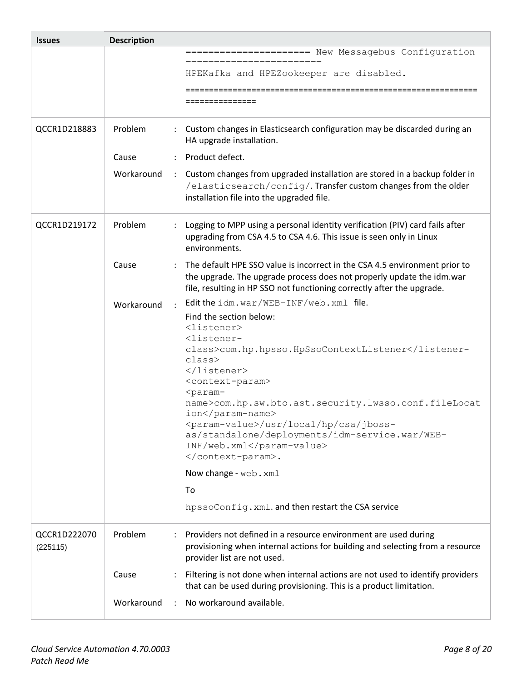| <b>Issues</b>            | <b>Description</b>                 |                                                                                                                                                                                                                               |
|--------------------------|------------------------------------|-------------------------------------------------------------------------------------------------------------------------------------------------------------------------------------------------------------------------------|
|                          |                                    | ===================== New Messagebus Configuration                                                                                                                                                                            |
|                          |                                    | =========================<br>HPEKafka and HPEZookeeper are disabled.                                                                                                                                                          |
|                          |                                    |                                                                                                                                                                                                                               |
|                          |                                    |                                                                                                                                                                                                                               |
|                          |                                    |                                                                                                                                                                                                                               |
| QCCR1D218883             | Problem                            | Custom changes in Elasticsearch configuration may be discarded during an<br>HA upgrade installation.                                                                                                                          |
|                          | Cause                              | Product defect.                                                                                                                                                                                                               |
|                          | Workaround<br>$\ddot{\phantom{a}}$ | Custom changes from upgraded installation are stored in a backup folder in                                                                                                                                                    |
|                          |                                    | /elasticsearch/config/. Transfer custom changes from the older<br>installation file into the upgraded file.                                                                                                                   |
| QCCR1D219172             | Problem                            | Logging to MPP using a personal identity verification (PIV) card fails after<br>upgrading from CSA 4.5 to CSA 4.6. This issue is seen only in Linux<br>environments.                                                          |
|                          | Cause                              | The default HPE SSO value is incorrect in the CSA 4.5 environment prior to<br>the upgrade. The upgrade process does not properly update the idm.war<br>file, resulting in HP SSO not functioning correctly after the upgrade. |
|                          | Workaround                         | Edit the idm. war/WEB-INF/web. xml file.                                                                                                                                                                                      |
|                          |                                    | Find the section below:                                                                                                                                                                                                       |
|                          |                                    | $\langle$ listener>                                                                                                                                                                                                           |
|                          |                                    | <listener-<br>class&gt;com.hp.hpsso.HpSsoContextListener</listener-<br>                                                                                                                                                       |
|                          |                                    | class>                                                                                                                                                                                                                        |
|                          |                                    |                                                                                                                                                                                                                               |
|                          |                                    | <context-param><br/><param-< td=""></param-<></context-param>                                                                                                                                                                 |
|                          |                                    | name>com.hp.sw.bto.ast.security.lwsso.conf.fileLocat<br>ion                                                                                                                                                                   |
|                          |                                    | <param-value>/usr/local/hp/csa/jboss-</param-value>                                                                                                                                                                           |
|                          |                                    | as/standalone/deployments/idm-service.war/WEB-<br>INF/web.xml                                                                                                                                                                 |
|                          |                                    | .                                                                                                                                                                                                                             |
|                          |                                    | Now change - web. xml                                                                                                                                                                                                         |
|                          |                                    | To                                                                                                                                                                                                                            |
|                          |                                    | hpssoConfig.xml.and then restart the CSA service                                                                                                                                                                              |
| QCCR1D222070<br>(225115) | Problem                            | Providers not defined in a resource environment are used during<br>provisioning when internal actions for building and selecting from a resource<br>provider list are not used.                                               |
|                          | Cause                              | Filtering is not done when internal actions are not used to identify providers<br>that can be used during provisioning. This is a product limitation.                                                                         |
|                          | Workaround                         | No workaround available.                                                                                                                                                                                                      |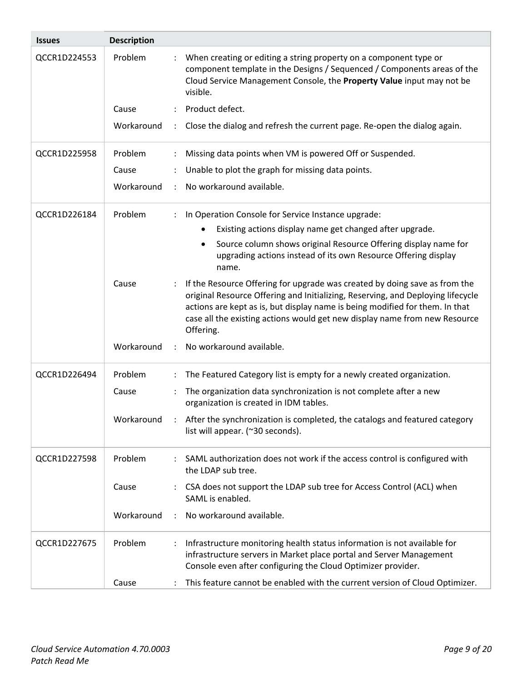| <b>Issues</b> | <b>Description</b> |                                                                                                                                                                                                                                                                                                                                          |
|---------------|--------------------|------------------------------------------------------------------------------------------------------------------------------------------------------------------------------------------------------------------------------------------------------------------------------------------------------------------------------------------|
| QCCR1D224553  | Problem            | When creating or editing a string property on a component type or<br>component template in the Designs / Sequenced / Components areas of the<br>Cloud Service Management Console, the Property Value input may not be<br>visible.                                                                                                        |
|               | Cause              | Product defect.                                                                                                                                                                                                                                                                                                                          |
|               | Workaround         | Close the dialog and refresh the current page. Re-open the dialog again.<br>÷                                                                                                                                                                                                                                                            |
| QCCR1D225958  | Problem            | Missing data points when VM is powered Off or Suspended.                                                                                                                                                                                                                                                                                 |
|               | Cause              | Unable to plot the graph for missing data points.                                                                                                                                                                                                                                                                                        |
|               | Workaround         | No workaround available.                                                                                                                                                                                                                                                                                                                 |
| QCCR1D226184  | Problem            | In Operation Console for Service Instance upgrade:                                                                                                                                                                                                                                                                                       |
|               |                    | Existing actions display name get changed after upgrade.                                                                                                                                                                                                                                                                                 |
|               |                    | Source column shows original Resource Offering display name for<br>upgrading actions instead of its own Resource Offering display<br>name.                                                                                                                                                                                               |
|               | Cause              | If the Resource Offering for upgrade was created by doing save as from the<br>original Resource Offering and Initializing, Reserving, and Deploying lifecycle<br>actions are kept as is, but display name is being modified for them. In that<br>case all the existing actions would get new display name from new Resource<br>Offering. |
|               | Workaround         | No workaround available.                                                                                                                                                                                                                                                                                                                 |
| QCCR1D226494  | Problem            | The Featured Category list is empty for a newly created organization.                                                                                                                                                                                                                                                                    |
|               | Cause              | The organization data synchronization is not complete after a new<br>$\ddot{\cdot}$<br>organization is created in IDM tables.                                                                                                                                                                                                            |
|               |                    | Workaround : After the synchronization is completed, the catalogs and featured category<br>list will appear. (~30 seconds).                                                                                                                                                                                                              |
| QCCR1D227598  | Problem            | SAML authorization does not work if the access control is configured with<br>the LDAP sub tree.                                                                                                                                                                                                                                          |
|               | Cause              | CSA does not support the LDAP sub tree for Access Control (ACL) when<br>$\ddot{\phantom{a}}$<br>SAML is enabled.                                                                                                                                                                                                                         |
|               | Workaround         | No workaround available.<br>$\ddot{\phantom{a}}$                                                                                                                                                                                                                                                                                         |
| QCCR1D227675  | Problem            | Infrastructure monitoring health status information is not available for<br>infrastructure servers in Market place portal and Server Management<br>Console even after configuring the Cloud Optimizer provider.                                                                                                                          |
|               | Cause              | This feature cannot be enabled with the current version of Cloud Optimizer.                                                                                                                                                                                                                                                              |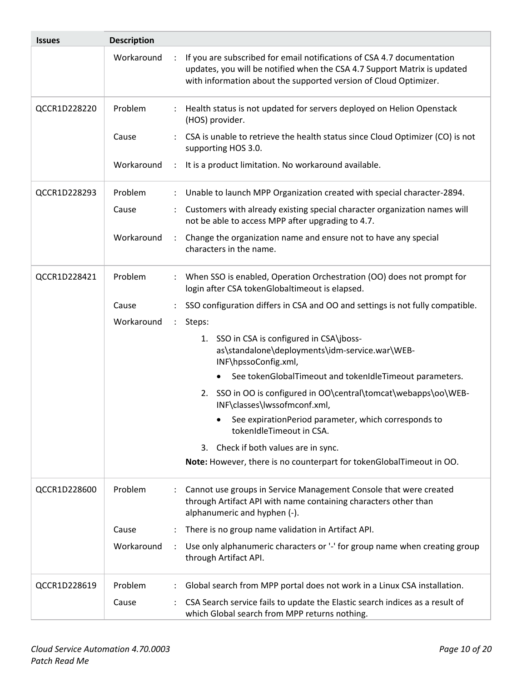| <b>Issues</b> | <b>Description</b>                 |                                                                                                                                                                                                                        |
|---------------|------------------------------------|------------------------------------------------------------------------------------------------------------------------------------------------------------------------------------------------------------------------|
|               | Workaround<br>$\ddot{\phantom{a}}$ | If you are subscribed for email notifications of CSA 4.7 documentation<br>updates, you will be notified when the CSA 4.7 Support Matrix is updated<br>with information about the supported version of Cloud Optimizer. |
| QCCR1D228220  | Problem                            | Health status is not updated for servers deployed on Helion Openstack<br>(HOS) provider.                                                                                                                               |
|               | Cause                              | CSA is unable to retrieve the health status since Cloud Optimizer (CO) is not<br>supporting HOS 3.0.                                                                                                                   |
|               | Workaround<br>$\ddot{\phantom{a}}$ | It is a product limitation. No workaround available.                                                                                                                                                                   |
| QCCR1D228293  | Problem                            | Unable to launch MPP Organization created with special character-2894.                                                                                                                                                 |
|               | Cause                              | Customers with already existing special character organization names will<br>not be able to access MPP after upgrading to 4.7.                                                                                         |
|               | Workaround                         | Change the organization name and ensure not to have any special<br>$\ddot{\phantom{a}}$<br>characters in the name.                                                                                                     |
| QCCR1D228421  | Problem                            | When SSO is enabled, Operation Orchestration (OO) does not prompt for<br>login after CSA tokenGlobaltimeout is elapsed.                                                                                                |
|               | Cause                              | SSO configuration differs in CSA and OO and settings is not fully compatible.                                                                                                                                          |
|               | Workaround                         | Steps:<br>$\mathbb{Z}^{\mathbb{Z}}$                                                                                                                                                                                    |
|               |                                    | 1. SSO in CSA is configured in CSA\jboss-<br>as\standalone\deployments\idm-service.war\WEB-<br>INF\hpssoConfig.xml,                                                                                                    |
|               |                                    | See tokenGlobalTimeout and tokenIdleTimeout parameters.                                                                                                                                                                |
|               |                                    | 2. SSO in OO is configured in OO\central\tomcat\webapps\oo\WEB-<br>INF\classes\Iwssofmconf.xml,                                                                                                                        |
|               |                                    | See expirationPeriod parameter, which corresponds to<br>tokenIdleTimeout in CSA.                                                                                                                                       |
|               |                                    | 3. Check if both values are in sync.                                                                                                                                                                                   |
|               |                                    | Note: However, there is no counterpart for tokenGlobalTimeout in OO.                                                                                                                                                   |
| QCCR1D228600  | Problem                            | Cannot use groups in Service Management Console that were created<br>through Artifact API with name containing characters other than<br>alphanumeric and hyphen (-).                                                   |
|               | Cause                              | There is no group name validation in Artifact API.                                                                                                                                                                     |
|               | Workaround<br>$\ddot{\cdot}$       | Use only alphanumeric characters or '-' for group name when creating group<br>through Artifact API.                                                                                                                    |
| QCCR1D228619  | Problem                            | Global search from MPP portal does not work in a Linux CSA installation.                                                                                                                                               |
|               | Cause                              | CSA Search service fails to update the Elastic search indices as a result of<br>which Global search from MPP returns nothing.                                                                                          |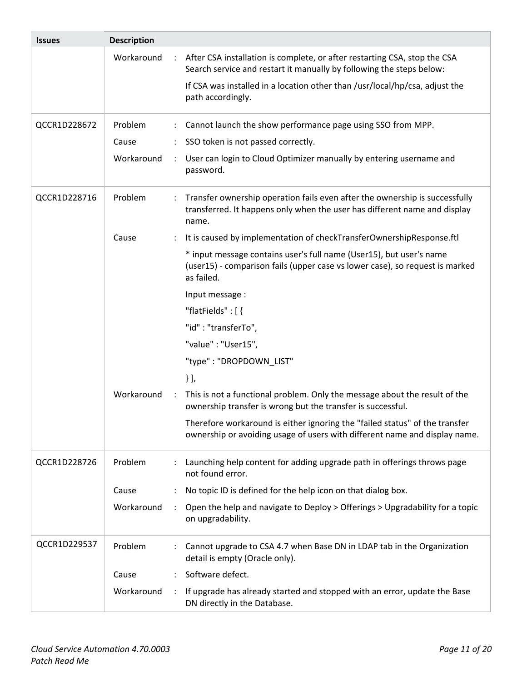| <b>Issues</b> | <b>Description</b> |                                                                                                                                                                   |
|---------------|--------------------|-------------------------------------------------------------------------------------------------------------------------------------------------------------------|
|               | Workaround         | After CSA installation is complete, or after restarting CSA, stop the CSA<br>Search service and restart it manually by following the steps below:                 |
|               |                    | If CSA was installed in a location other than /usr/local/hp/csa, adjust the<br>path accordingly.                                                                  |
| QCCR1D228672  | Problem            | Cannot launch the show performance page using SSO from MPP.                                                                                                       |
|               | Cause              | SSO token is not passed correctly.                                                                                                                                |
|               | Workaround         | User can login to Cloud Optimizer manually by entering username and<br>$\ddot{\cdot}$<br>password.                                                                |
| QCCR1D228716  | Problem            | Transfer ownership operation fails even after the ownership is successfully<br>transferred. It happens only when the user has different name and display<br>name. |
|               | Cause              | It is caused by implementation of checkTransferOwnershipResponse.ftl                                                                                              |
|               |                    | * input message contains user's full name (User15), but user's name<br>(user15) - comparison fails (upper case vs lower case), so request is marked<br>as failed. |
|               |                    | Input message :                                                                                                                                                   |
|               |                    | "flatFields": [{                                                                                                                                                  |
|               |                    | "id": "transferTo",                                                                                                                                               |
|               |                    | "value": "User15",                                                                                                                                                |
|               |                    | "type": "DROPDOWN_LIST"                                                                                                                                           |
|               |                    | $\}$ ],                                                                                                                                                           |
|               | Workaround         | This is not a functional problem. Only the message about the result of the<br>$\ddot{\phantom{a}}$<br>ownership transfer is wrong but the transfer is successful. |
|               |                    | Therefore workaround is either ignoring the "failed status" of the transfer<br>ownership or avoiding usage of users with different name and display name.         |
| QCCR1D228726  | Problem            | Launching help content for adding upgrade path in offerings throws page<br>not found error.                                                                       |
|               | Cause              | No topic ID is defined for the help icon on that dialog box.                                                                                                      |
|               | Workaround         | Open the help and navigate to Deploy > Offerings > Upgradability for a topic<br>on upgradability.                                                                 |
| QCCR1D229537  | Problem            | Cannot upgrade to CSA 4.7 when Base DN in LDAP tab in the Organization<br>detail is empty (Oracle only).                                                          |
|               | Cause              | Software defect.                                                                                                                                                  |
|               | Workaround         | If upgrade has already started and stopped with an error, update the Base<br>DN directly in the Database.                                                         |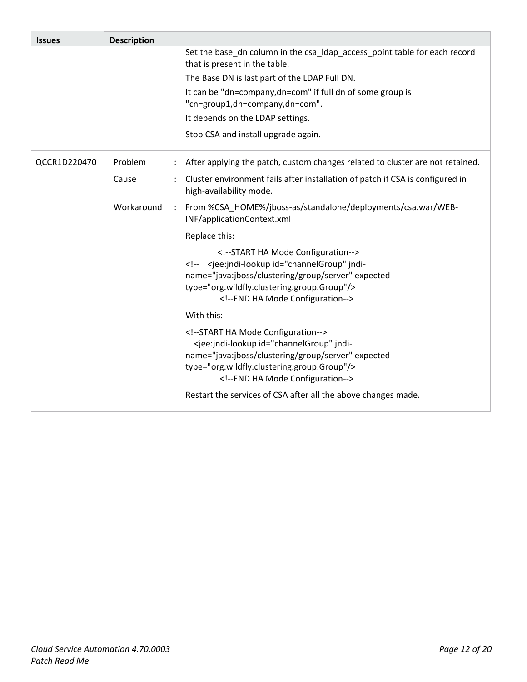| <b>Issues</b> | <b>Description</b> |                                                                                                                                                                                                                                             |
|---------------|--------------------|---------------------------------------------------------------------------------------------------------------------------------------------------------------------------------------------------------------------------------------------|
|               |                    | Set the base_dn column in the csa_Idap_access_point table for each record<br>that is present in the table.                                                                                                                                  |
|               |                    | The Base DN is last part of the LDAP Full DN.                                                                                                                                                                                               |
|               |                    | It can be "dn=company,dn=com" if full dn of some group is<br>"cn=group1,dn=company,dn=com".                                                                                                                                                 |
|               |                    | It depends on the LDAP settings.                                                                                                                                                                                                            |
|               |                    | Stop CSA and install upgrade again.                                                                                                                                                                                                         |
| QCCR1D220470  | Problem            | After applying the patch, custom changes related to cluster are not retained.                                                                                                                                                               |
|               | Cause              | Cluster environment fails after installation of patch if CSA is configured in<br>high-availability mode.                                                                                                                                    |
|               | Workaround         | : From %CSA_HOME%/jboss-as/standalone/deployments/csa.war/WEB-<br>INF/applicationContext.xml                                                                                                                                                |
|               |                    | Replace this:                                                                                                                                                                                                                               |
|               |                    | START HA Mode Configuration<br><jee:jndi-lookup id="channelGroup" jndi-<br>name="java:jboss/clustering/group/server" expected-<br>type="org.wildfly.clustering.group.Group"/><br><!--END HA Mode Configuration                              |
|               |                    | With this:                                                                                                                                                                                                                                  |
|               |                    | START HA Mode Configuration<br><jee:jndi-lookup id="channelGroup" jndi-<br="">name="java:jboss/clustering/group/server" expected-<br/>type="org.wildfly.clustering.group.Group"/&gt;<br/><!--END HA Mode Configuration--></jee:jndi-lookup> |
|               |                    | Restart the services of CSA after all the above changes made.                                                                                                                                                                               |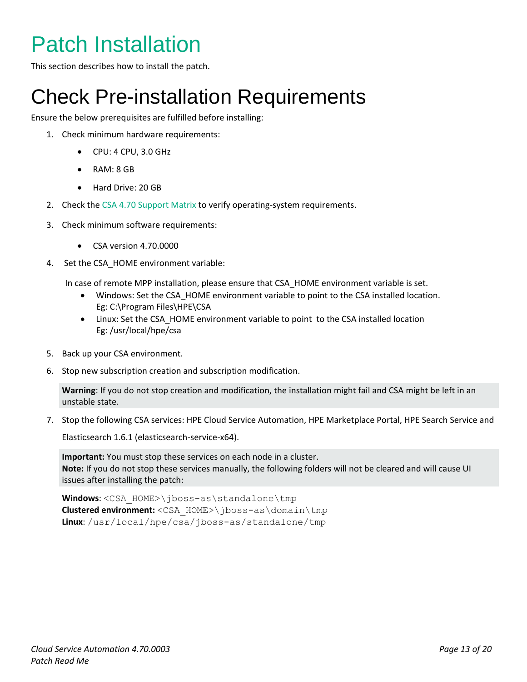## <span id="page-12-0"></span>Patch Installation

<span id="page-12-1"></span>This section describes how to install the patch.

### Check Pre-installation Requirements

Ensure the below prerequisites are fulfilled before installing:

- 1. Check minimum hardware requirements:
	- CPU: 4 CPU, 3.0 GHz
	- RAM: 8 GB
	- Hard Drive: 20 GB
- 2. Check th[e CSA 4.70 Support Matrix](https://softwaresupport.hpe.com/km/KM02413755) to verify operating-system requirements.
- 3. Check minimum software requirements:
	- CSA version 4.70.0000
- 4. Set the CSA\_HOME environment variable:

In case of remote MPP installation, please ensure that CSA\_HOME environment variable is set.

- Windows: Set the CSA\_HOME environment variable to point to the CSA installed location. Eg: C:\Program Files\HPE\CSA
- Linux: Set the CSA\_HOME environment variable to point to the CSA installed location Eg: /usr/local/hpe/csa
- 5. Back up your CSA environment.
- 6. Stop new subscription creation and subscription modification.

**Warning**: If you do not stop creation and modification, the installation might fail and CSA might be left in an unstable state.

7. Stop the following CSA services: HPE Cloud Service Automation, HPE Marketplace Portal, HPE Search Service and

Elasticsearch 1.6.1 (elasticsearch-service-x64).

**Important:** You must stop these services on each node in a cluster. **Note:** If you do not stop these services manually, the following folders will not be cleared and will cause UI issues after installing the patch:

**Windows**: <CSA\_HOME>\jboss-as\standalone\tmp **Clustered environment:** <CSA\_HOME>\jboss-as\domain\tmp **Linux**: /usr/local/hpe/csa/jboss-as/standalone/tmp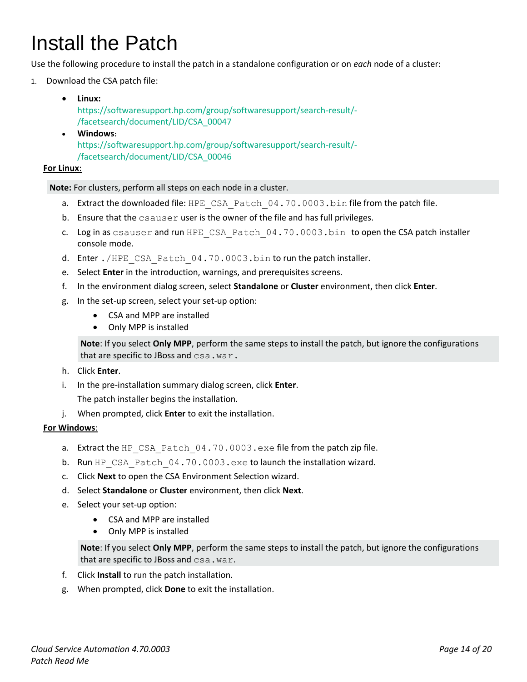## <span id="page-13-0"></span>Install the Patch

Use the following procedure to install the patch in a standalone configuration or on *each* node of a cluster:

- 1. Download the CSA patch file:
	- **Linux:** [https://softwaresupport.hp.com/group/softwaresupport/search-result/-](https://softwaresupport.hp.com/group/softwaresupport/search-result/-/facetsearch/document/LID/CSA_00047) [/facetsearch/document/LID/CSA\\_00047](https://softwaresupport.hp.com/group/softwaresupport/search-result/-/facetsearch/document/LID/CSA_00047) **Windows:**

[https://softwaresupport.hp.com/group/softwaresupport/search-result/-](https://softwaresupport.hp.com/group/softwaresupport/search-result/-/facetsearch/document/LID/CSA_00046) [/facetsearch/document/LID/CSA\\_00046](https://softwaresupport.hp.com/group/softwaresupport/search-result/-/facetsearch/document/LID/CSA_00046)

#### **For Linux**:

**Note:** For clusters, perform all steps on each node in a cluster.

- a. Extract the downloaded file: HPE\_CSA\_Patch\_04.70.0003.bin file from the patch file.
- b. Ensure that the csauser user is the owner of the file and has full privileges.
- c. Log in as csauser and run HPE\_CSA\_Patch\_04.70.0003.bin to open the CSA patch installer console mode.
- d. Enter ./HPE\_CSA\_Patch\_04.70.0003.bin to run the patch installer.
- e. Select **Enter** in the introduction, warnings, and prerequisites screens.
- f. In the environment dialog screen, select **Standalone** or **Cluster** environment, then click **Enter**.
- g. In the set-up screen, select your set-up option:
	- CSA and MPP are installed
	- Only MPP is installed

**Note**: If you select **Only MPP**, perform the same steps to install the patch, but ignore the configurations that are specific to JBoss and csa.war.

- h. Click **Enter**.
- i. In the pre-installation summary dialog screen, click **Enter**.

The patch installer begins the installation.

j. When prompted, click **Enter** to exit the installation.

#### **For Windows**:

- a. Extract the HP\_CSA\_Patch\_04.70.0003.exe file from the patch zip file.
- b. Run HP\_CSA\_Patch\_04.70.0003.exe to launch the installation wizard.
- c. Click **Next** to open the CSA Environment Selection wizard.
- d. Select **Standalone** or **Cluster** environment, then click **Next**.
- e. Select your set-up option:
	- CSA and MPP are installed
	- Only MPP is installed

**Note**: If you select **Only MPP**, perform the same steps to install the patch, but ignore the configurations that are specific to JBoss and csa.war.

- f. Click **Install** to run the patch installation.
- g. When prompted, click **Done** to exit the installation.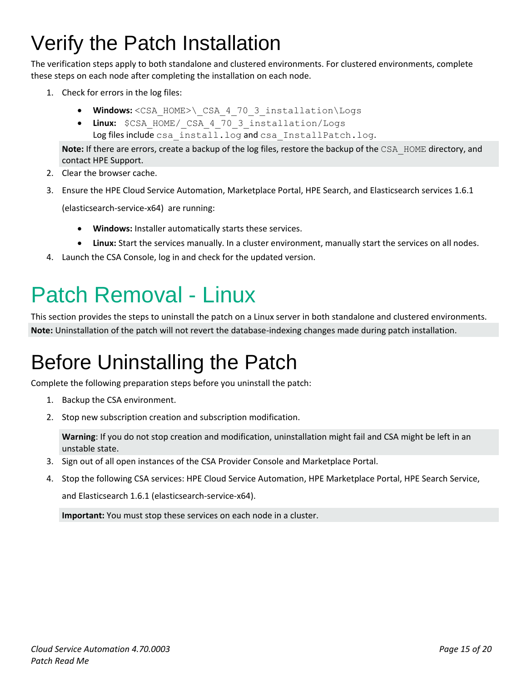## <span id="page-14-0"></span>Verify the Patch Installation

The verification steps apply to both standalone and clustered environments. For clustered environments, complete these steps on each node after completing the installation on each node.

- 1. Check for errors in the log files:
	- **Windows:** <CSA\_HOME>\\_CSA\_4\_70\_3\_installation\Logs
	- **Linux:** \$CSA\_HOME/\_CSA\_4\_70\_3\_installation/Logs Log files include csa\_install.log and csa\_InstallPatch.log.

**Note:** If there are errors, create a backup of the log files, restore the backup of the CSA\_HOME directory, and contact HPE Support.

- 2. Clear the browser cache.
- 3. Ensure the HPE Cloud Service Automation, Marketplace Portal, HPE Search, and Elasticsearch services 1.6.1

(elasticsearch-service-x64) are running:

- **Windows:** Installer automatically starts these services.
- **Linux:** Start the services manually. In a cluster environment, manually start the services on all nodes.
- 4. Launch the CSA Console, log in and check for the updated version.

## <span id="page-14-1"></span>Patch Removal - Linux

This section provides the steps to uninstall the patch on a Linux server in both standalone and clustered environments. **Note:** Uninstallation of the patch will not revert the database-indexing changes made during patch installation.

### <span id="page-14-2"></span>Before Uninstalling the Patch

Complete the following preparation steps before you uninstall the patch:

- 1. Backup the CSA environment.
- 2. Stop new subscription creation and subscription modification.

**Warning**: If you do not stop creation and modification, uninstallation might fail and CSA might be left in an unstable state.

- 3. Sign out of all open instances of the CSA Provider Console and Marketplace Portal.
- 4. Stop the following CSA services: HPE Cloud Service Automation, HPE Marketplace Portal, HPE Search Service,

and Elasticsearch 1.6.1 (elasticsearch-service-x64).

**Important:** You must stop these services on each node in a cluster.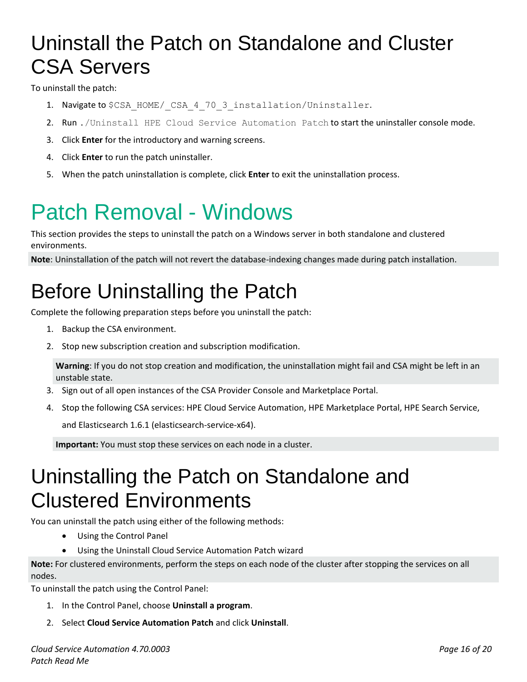### <span id="page-15-0"></span>Uninstall the Patch on Standalone and Cluster CSA Servers

To uninstall the patch:

- 1. Navigate to \$CSA\_HOME/ CSA\_4\_70\_3\_installation/Uninstaller.
- 2. Run ./Uninstall HPE Cloud Service Automation Patch to start the uninstaller console mode.
- 3. Click **Enter** for the introductory and warning screens.
- 4. Click **Enter** to run the patch uninstaller.
- 5. When the patch uninstallation is complete, click **Enter** to exit the uninstallation process.

## <span id="page-15-1"></span>Patch Removal - Windows

This section provides the steps to uninstall the patch on a Windows server in both standalone and clustered environments.

**Note**: Uninstallation of the patch will not revert the database-indexing changes made during patch installation.

### <span id="page-15-2"></span>Before Uninstalling the Patch

Complete the following preparation steps before you uninstall the patch:

- 1. Backup the CSA environment.
- 2. Stop new subscription creation and subscription modification.

**Warning**: If you do not stop creation and modification, the uninstallation might fail and CSA might be left in an unstable state.

- 3. Sign out of all open instances of the CSA Provider Console and Marketplace Portal.
- 4. Stop the following CSA services: HPE Cloud Service Automation, HPE Marketplace Portal, HPE Search Service,

and Elasticsearch 1.6.1 (elasticsearch-service-x64).

**Important:** You must stop these services on each node in a cluster.

### <span id="page-15-3"></span>Uninstalling the Patch on Standalone and Clustered Environments

You can uninstall the patch using either of the following methods:

- Using the Control Panel
- Using the Uninstall Cloud Service Automation Patch wizard

**Note:** For clustered environments, perform the steps on each node of the cluster after stopping the services on all nodes.

To uninstall the patch using the Control Panel:

- 1. In the Control Panel, choose **Uninstall a program**.
- 2. Select **Cloud Service Automation Patch** and click **Uninstall**.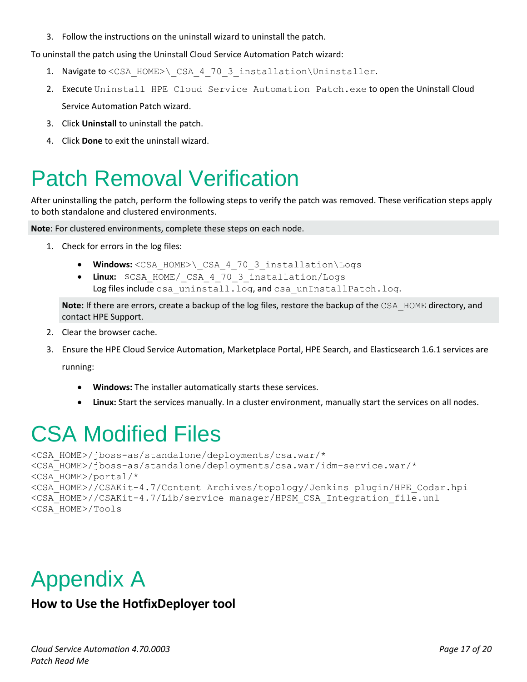3. Follow the instructions on the uninstall wizard to uninstall the patch.

To uninstall the patch using the Uninstall Cloud Service Automation Patch wizard:

- 1. Navigate to <CSA\_HOME>\ CSA\_4\_70\_3\_installation\Uninstaller.
- 2. Execute Uninstall HPE Cloud Service Automation Patch.exe to open the Uninstall Cloud Service Automation Patch wizard.
- 3. Click **Uninstall** to uninstall the patch.
- 4. Click **Done** to exit the uninstall wizard.

### <span id="page-16-0"></span>Patch Removal Verification

After uninstalling the patch, perform the following steps to verify the patch was removed. These verification steps apply to both standalone and clustered environments.

**Note**: For clustered environments, complete these steps on each node.

- 1. Check for errors in the log files:
	- **Windows:** <CSA\_HOME>\\_CSA\_4\_70\_3\_installation\Logs
	- **Linux:** \$CSA\_HOME/\_CSA\_4\_70\_3\_installation/Logs Log files include csa uninstall.log, and csa unInstallPatch.log.

**Note:** If there are errors, create a backup of the log files, restore the backup of the CSA\_HOME directory, and contact HPE Support.

- 2. Clear the browser cache.
- 3. Ensure the HPE Cloud Service Automation, Marketplace Portal, HPE Search, and Elasticsearch 1.6.1 services are running:

- **Windows:** The installer automatically starts these services.
- **Linux:** Start the services manually. In a cluster environment, manually start the services on all nodes.

### <span id="page-16-1"></span>CSA Modified Files

```
<CSA_HOME>/jboss-as/standalone/deployments/csa.war/*
<CSA_HOME>/jboss-as/standalone/deployments/csa.war/idm-service.war/* 
<CSA_HOME>/portal/*
<CSA_HOME>//CSAKit-4.7/Content Archives/topology/Jenkins plugin/HPE_Codar.hpi 
<CSA_HOME>//CSAKit-4.7/Lib/service manager/HPSM_CSA_Integration_file.unl 
<CSA_HOME>/Tools
```
### <span id="page-16-2"></span>Appendix A

#### **How to Use the HotfixDeployer tool**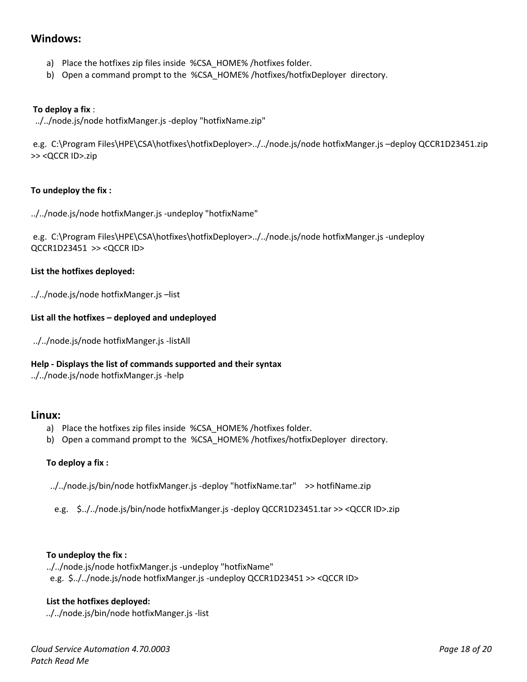#### **Windows:**

- a) Place the hotfixes zip files inside %CSA\_HOME% /hotfixes folder.
- b) Open a command prompt to the %CSA\_HOME% /hotfixes/hotfixDeployer directory.

#### **To deploy a fix** :

../../node.js/node hotfixManger.js -deploy "hotfixName.zip"

e.g. C:\Program Files\HPE\CSA\hotfixes\hotfixDeployer>../../node.js/node hotfixManger.js –deploy QCCR1D23451.zip >> <QCCR ID>.zip

#### **To undeploy the fix :**

../../node.js/node hotfixManger.js -undeploy "hotfixName"

e.g. C:\Program Files\HPE\CSA\hotfixes\hotfixDeployer>../../node.js/node hotfixManger.js -undeploy QCCR1D23451 >> <QCCR ID>

#### **List the hotfixes deployed:**

../../node.js/node hotfixManger.js –list

#### **List all the hotfixes – deployed and undeployed**

../../node.js/node hotfixManger.js -listAll

#### **Help - Displays the list of commands supported and their syntax**

../../node.js/node hotfixManger.js -help

#### **Linux:**

- a) Place the hotfixes zip files inside %CSA\_HOME% /hotfixes folder.
- b) Open a command prompt to the %CSA\_HOME% /hotfixes/hotfixDeployer directory.

#### **To deploy a fix :**

../../node.js/bin/node hotfixManger.js -deploy "hotfixName.tar" >> hotfiName.zip

e.g. \$../../node.js/bin/node hotfixManger.js -deploy QCCR1D23451.tar >> <QCCR ID>.zip

#### **To undeploy the fix :**

../../node.js/node hotfixManger.js -undeploy "hotfixName"

e.g. \$../../node.js/node hotfixManger.js -undeploy QCCR1D23451 >> <QCCR ID>

#### **List the hotfixes deployed:**

../../node.js/bin/node hotfixManger.js -list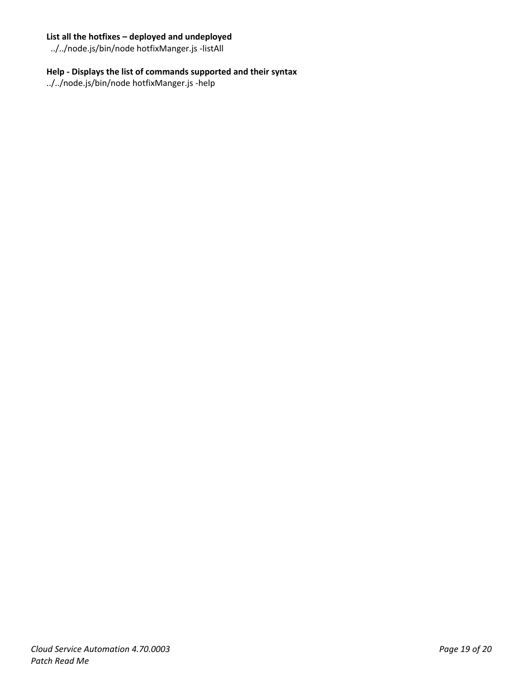#### **List all the hotfixes – deployed and undeployed**

../../node.js/bin/node hotfixManger.js -listAll

#### **Help - Displays the list of commands supported and their syntax**

../../node.js/bin/node hotfixManger.js -help